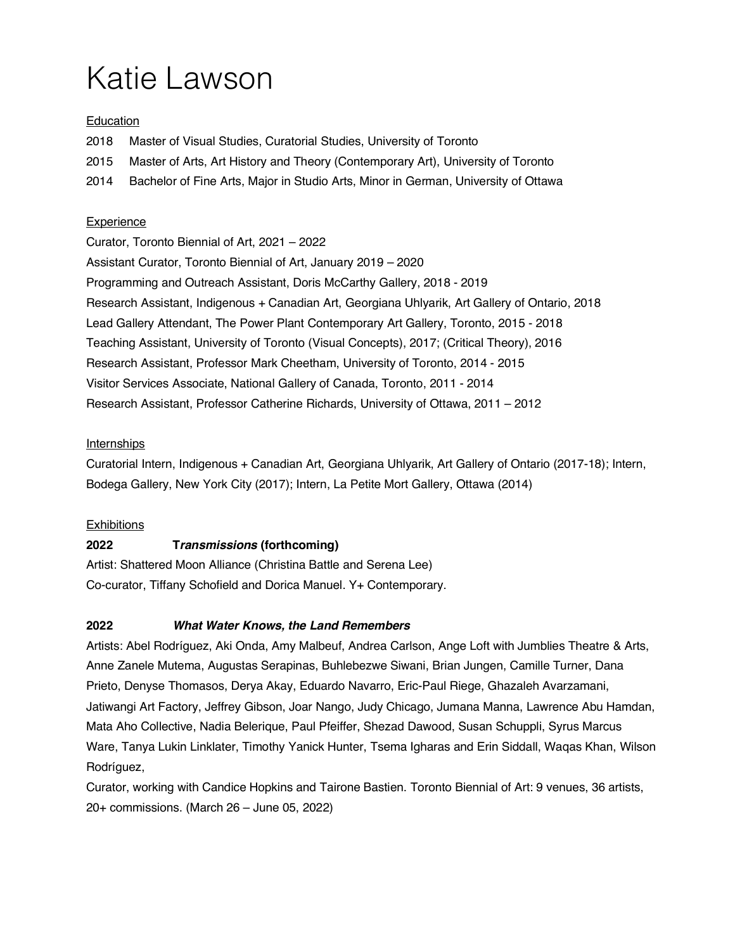# Katie Lawson

## **Education**

2018 Master of Visual Studies, Curatorial Studies, University of Toronto

2015 Master of Arts, Art History and Theory (Contemporary Art), University of Toronto

2014 Bachelor of Fine Arts, Major in Studio Arts, Minor in German, University of Ottawa

## **Experience**

Curator, Toronto Biennial of Art, 2021 – 2022 Assistant Curator, Toronto Biennial of Art, January 2019 – 2020 Programming and Outreach Assistant, Doris McCarthy Gallery, 2018 - 2019 Research Assistant, Indigenous + Canadian Art, Georgiana Uhlyarik, Art Gallery of Ontario, 2018 Lead Gallery Attendant, The Power Plant Contemporary Art Gallery, Toronto, 2015 - 2018 Teaching Assistant, University of Toronto (Visual Concepts), 2017; (Critical Theory), 2016 Research Assistant, Professor Mark Cheetham, University of Toronto, 2014 - 2015 Visitor Services Associate, National Gallery of Canada, Toronto, 2011 - 2014 Research Assistant, Professor Catherine Richards, University of Ottawa, 2011 – 2012

## **Internships**

Curatorial Intern, Indigenous + Canadian Art, Georgiana Uhlyarik, Art Gallery of Ontario (2017-18); Intern, Bodega Gallery, New York City (2017); Intern, La Petite Mort Gallery, Ottawa (2014)

# **Exhibitions**

# **2022 T***ransmissions* **(forthcoming)**

Artist: Shattered Moon Alliance (Christina Battle and Serena Lee) Co-curator, Tiffany Schofield and Dorica Manuel. Y+ Contemporary.

# **2022** *What Water Knows, the Land Remembers*

Artists: Abel Rodríguez, Aki Onda, Amy Malbeuf, Andrea Carlson, Ange Loft with Jumblies Theatre & Arts, Anne Zanele Mutema, Augustas Serapinas, Buhlebezwe Siwani, Brian Jungen, Camille Turner, Dana Prieto, Denyse Thomasos, Derya Akay, Eduardo Navarro, Eric-Paul Riege, Ghazaleh Avarzamani, Jatiwangi Art Factory, Jeffrey Gibson, Joar Nango, Judy Chicago, Jumana Manna, Lawrence Abu Hamdan, Mata Aho Collective, Nadia Belerique, Paul Pfeiffer, Shezad Dawood, Susan Schuppli, Syrus Marcus Ware, Tanya Lukin Linklater, Timothy Yanick Hunter, Tsema Igharas and Erin Siddall, Waqas Khan, Wilson Rodríguez,

Curator, working with Candice Hopkins and Tairone Bastien. Toronto Biennial of Art: 9 venues, 36 artists, 20+ commissions. (March 26 – June 05, 2022)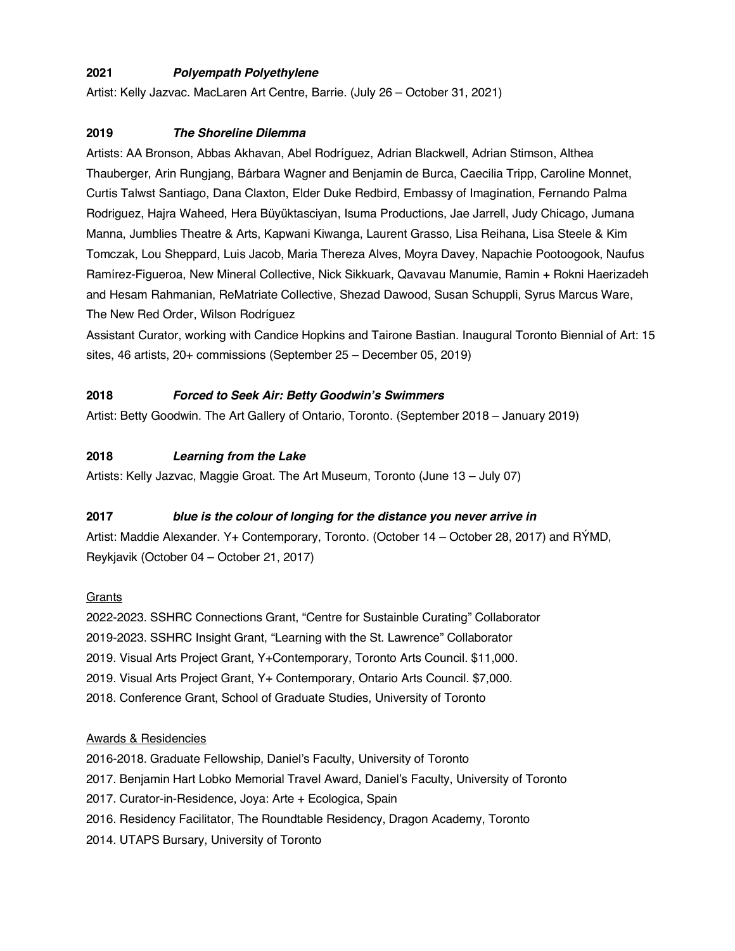## **2021** *Polyempath Polyethylene*

Artist: Kelly Jazvac. MacLaren Art Centre, Barrie. (July 26 – October 31, 2021)

## **2019** *The Shoreline Dilemma*

Artists: AA Bronson, Abbas Akhavan, Abel Rodríguez, Adrian Blackwell, Adrian Stimson, Althea Thauberger, Arin Rungjang, Bárbara Wagner and Benjamin de Burca, Caecilia Tripp, Caroline Monnet, Curtis Talwst Santiago, Dana Claxton, Elder Duke Redbird, Embassy of Imagination, Fernando Palma Rodriguez, Hajra Waheed, Hera Büyüktasciyan, Isuma Productions, Jae Jarrell, Judy Chicago, Jumana Manna, Jumblies Theatre & Arts, Kapwani Kiwanga, Laurent Grasso, Lisa Reihana, Lisa Steele & Kim Tomczak, Lou Sheppard, Luis Jacob, Maria Thereza Alves, Moyra Davey, Napachie Pootoogook, Naufus Ramírez-Figueroa, New Mineral Collective, Nick Sikkuark, Qavavau Manumie, Ramin + Rokni Haerizadeh and Hesam Rahmanian, ReMatriate Collective, Shezad Dawood, Susan Schuppli, Syrus Marcus Ware, The New Red Order, Wilson Rodríguez

Assistant Curator, working with Candice Hopkins and Tairone Bastian. Inaugural Toronto Biennial of Art: 15 sites, 46 artists, 20+ commissions (September 25 – December 05, 2019)

## **2018** *Forced to Seek Air: Betty Goodwin's Swimmers*

Artist: Betty Goodwin. The Art Gallery of Ontario, Toronto. (September 2018 – January 2019)

## **2018** *Learning from the Lake*

Artists: Kelly Jazvac, Maggie Groat. The Art Museum, Toronto (June 13 – July 07)

### **2017** *blue is the colour of longing for the distance you never arrive in*

Artist: Maddie Alexander. Y+ Contemporary, Toronto. (October 14 – October 28, 2017) and RÝMD, Reykjavik (October 04 – October 21, 2017)

### **Grants**

2022-2023. SSHRC Connections Grant, "Centre for Sustainble Curating" Collaborator 2019-2023. SSHRC Insight Grant, "Learning with the St. Lawrence" Collaborator 2019. Visual Arts Project Grant, Y+Contemporary, Toronto Arts Council. \$11,000. 2019. Visual Arts Project Grant, Y+ Contemporary, Ontario Arts Council. \$7,000. 2018. Conference Grant, School of Graduate Studies, University of Toronto

### Awards & Residencies

2016-2018. Graduate Fellowship, Daniel's Faculty, University of Toronto 2017. Benjamin Hart Lobko Memorial Travel Award, Daniel's Faculty, University of Toronto 2017. Curator-in-Residence, Joya: Arte + Ecologica, Spain 2016. Residency Facilitator, The Roundtable Residency, Dragon Academy, Toronto 2014. UTAPS Bursary, University of Toronto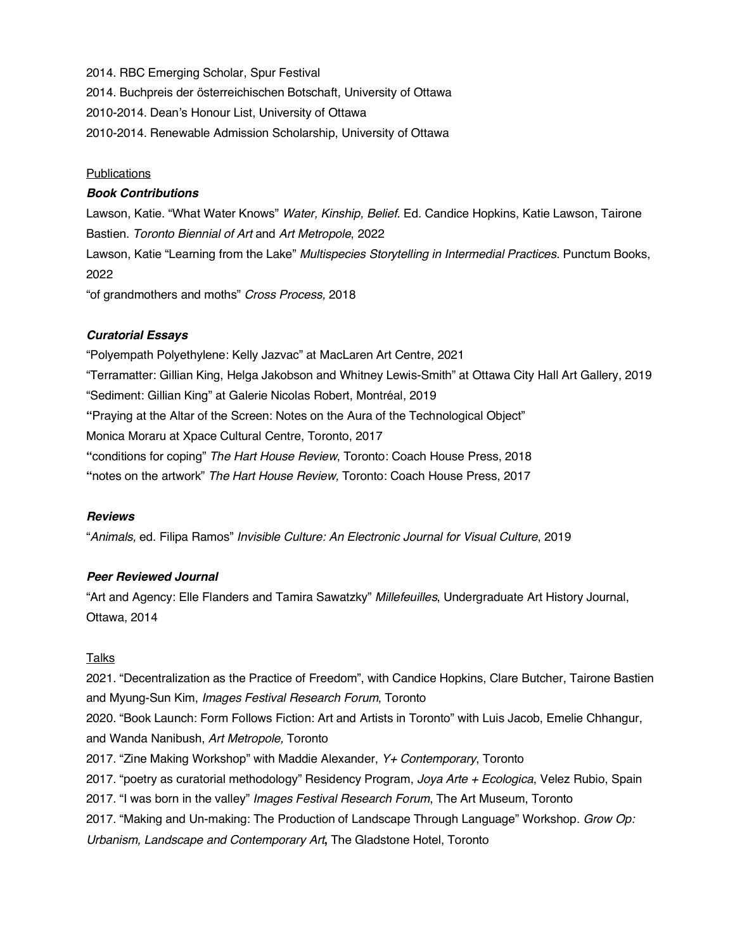2014. RBC Emerging Scholar, Spur Festival

2014. Buchpreis der österreichischen Botschaft, University of Ottawa

2010-2014. Dean's Honour List, University of Ottawa

2010-2014. Renewable Admission Scholarship, University of Ottawa

### Publications

#### *Book Contributions*

Lawson, Katie. "What Water Knows" *Water, Kinship, Belief.* Ed. Candice Hopkins, Katie Lawson, Tairone Bastien. *Toronto Biennial of Art* and *Art Metropole*, 2022

Lawson, Katie "Learning from the Lake" *Multispecies Storytelling in Intermedial Practices*. Punctum Books, 2022

"of grandmothers and moths" *Cross Process,* 2018

### *Curatorial Essays*

"Polyempath Polyethylene: Kelly Jazvac" at MacLaren Art Centre, 2021 "Terramatter: Gillian King, Helga Jakobson and Whitney Lewis-Smith" at Ottawa City Hall Art Gallery, 2019 "Sediment: Gillian King" at Galerie Nicolas Robert, Montréal, 2019 **"**Praying at the Altar of the Screen: Notes on the Aura of the Technological Object" Monica Moraru at Xpace Cultural Centre, Toronto, 2017 **"**conditions for coping" *The Hart House Review*, Toronto: Coach House Press, 2018 **"**notes on the artwork" *The Hart House Review,* Toronto: Coach House Press, 2017

#### *Reviews*

"*Animals,* ed. Filipa Ramos" *Invisible Culture: An Electronic Journal for Visual Culture*, 2019

### *Peer Reviewed Journal*

"Art and Agency: Elle Flanders and Tamira Sawatzky" *Millefeuilles*, Undergraduate Art History Journal, Ottawa, 2014

### Talks

2021. "Decentralization as the Practice of Freedom", with Candice Hopkins, Clare Butcher, Tairone Bastien and Myung-Sun Kim, *Images Festival Research Forum*, Toronto 2020. "Book Launch: Form Follows Fiction: Art and Artists in Toronto" with Luis Jacob, Emelie Chhangur, and Wanda Nanibush, *Art Metropole,* Toronto 2017. "Zine Making Workshop" with Maddie Alexander, *Y+ Contemporary*, Toronto 2017. "poetry as curatorial methodology" Residency Program, *Joya Arte + Ecologica*, Velez Rubio, Spain 2017. "I was born in the valley" *Images Festival Research Forum*, The Art Museum, Toronto 2017. "Making and Un-making: The Production of Landscape Through Language" Workshop. *Grow Op: Urbanism, Landscape and Contemporary Art***,** The Gladstone Hotel, Toronto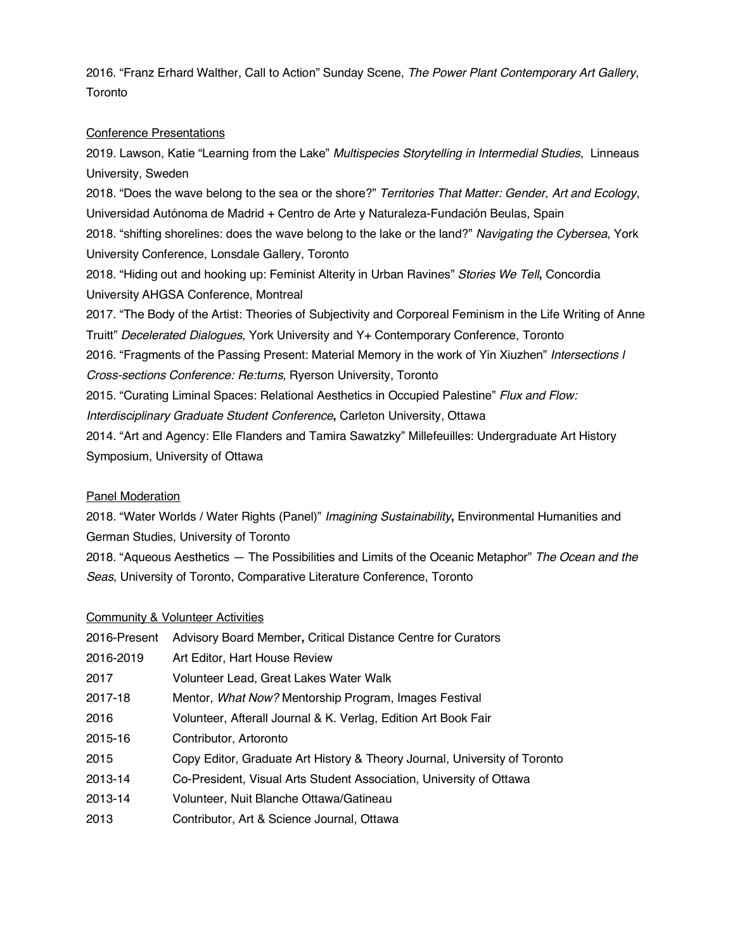2016. "Franz Erhard Walther, Call to Action" Sunday Scene, *The Power Plant Contemporary Art Gallery*, Toronto

#### Conference Presentations

2019. Lawson, Katie "Learning from the Lake" *Multispecies Storytelling in Intermedial Studies*, Linneaus University, Sweden 2018. "Does the wave belong to the sea or the shore?" *Territories That Matter: Gender, Art and Ecology*, Universidad Autónoma de Madrid + Centro de Arte y Naturaleza-Fundación Beulas, Spain 2018. "shifting shorelines: does the wave belong to the lake or the land?" *Navigating the Cybersea*, York University Conference, Lonsdale Gallery, Toronto 2018. "Hiding out and hooking up: Feminist Alterity in Urban Ravines" *Stories We Tell***,** Concordia University AHGSA Conference, Montreal 2017. "The Body of the Artist: Theories of Subjectivity and Corporeal Feminism in the Life Writing of Anne Truitt" *Decelerated Dialogues*, York University and Y+ Contemporary Conference, Toronto 2016. "Fragments of the Passing Present: Material Memory in the work of Yin Xiuzhen" *Intersections l Cross-sections Conference: Re:turns,* Ryerson University, Toronto 2015. "Curating Liminal Spaces: Relational Aesthetics in Occupied Palestine" *Flux and Flow: Interdisciplinary Graduate Student Conference***,** Carleton University, Ottawa 2014. "Art and Agency: Elle Flanders and Tamira Sawatzky" Millefeuilles: Undergraduate Art History Symposium, University of Ottawa

### Panel Moderation

2018. "Water Worlds / Water Rights (Panel)" *Imagining Sustainability***,** Environmental Humanities and German Studies, University of Toronto

2018. "Aqueous Aesthetics — The Possibilities and Limits of the Oceanic Metaphor" *The Ocean and the Seas*, University of Toronto, Comparative Literature Conference, Toronto

#### Community & Volunteer Activities

| 2016-Present | Advisory Board Member, Critical Distance Centre for Curators              |
|--------------|---------------------------------------------------------------------------|
| 2016-2019    | Art Editor, Hart House Review                                             |
| 2017         | Volunteer Lead, Great Lakes Water Walk                                    |
| 2017-18      | Mentor, What Now? Mentorship Program, Images Festival                     |
| 2016         | Volunteer, Afterall Journal & K. Verlag, Edition Art Book Fair            |
| 2015-16      | Contributor, Artoronto                                                    |
| 2015         | Copy Editor, Graduate Art History & Theory Journal, University of Toronto |
| 2013-14      | Co-President, Visual Arts Student Association, University of Ottawa       |
| 2013-14      | Volunteer, Nuit Blanche Ottawa/Gatineau                                   |
| 2013         | Contributor, Art & Science Journal, Ottawa                                |
|              |                                                                           |